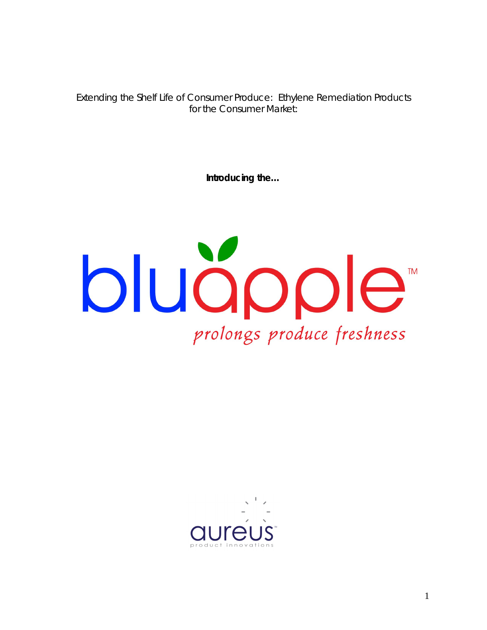Extending the Shelf Life of Consumer Produce: Ethylene Remediation Products for the Consumer Market:

**Introducing the…**



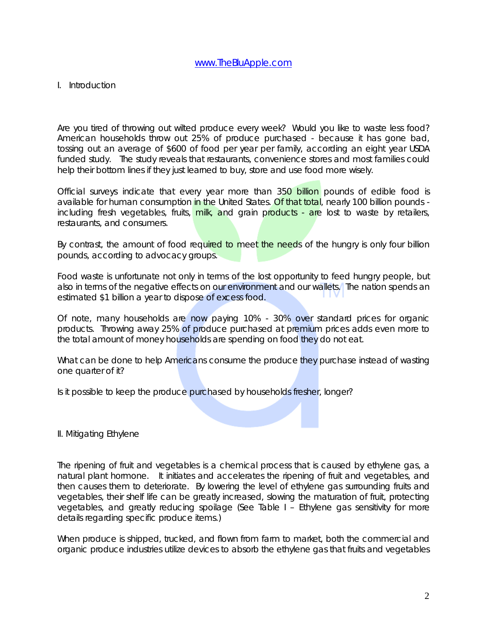### I. Introduction

Are you tired of throwing out wilted produce every week? Would you like to waste less food? American households throw out 25% of produce purchased - because it has gone bad, tossing out an average of \$600 of food per year per family, according an eight year USDA funded study. The study reveals that restaurants, convenience stores and most families could help their bottom lines if they just learned to buy, store and use food more wisely.

Official surveys indicate that every year more than 350 billion pounds of edible food is available for human consumption in the United States. Of that total, nearly 100 billion pounds including fresh vegetables, fruits, milk, and grain products - are lost to waste by retailers, restaurants, and consumers.

By contrast, the amount of food required to meet the needs of the hungry is only four billion pounds, according to advocacy groups.

Food waste is unfortunate not only in terms of the lost opportunity to feed hungry people, but also in terms of the negative effects on our environment and our wallets. The nation spends an estimated \$1 billion a year to dispose of excess food.

*Of note, many households are now paying 10% - 30% over standard prices for organic products. Throwing away 25% of produce purchased at premium prices adds even more to the total amount of money households are spending on food they do not eat.* 

What can be done to help Americans consume the produce they purchase instead of wasting one quarter of it?

Is it possible to keep the produce purchased by households fresher, longer?

#### II. Mitigating Ethylene

The ripening of fruit and vegetables is a chemical process that is caused by ethylene gas, a natural plant hormone. It initiates and accelerates the ripening of fruit and vegetables, and then causes them to deteriorate. By lowering the level of ethylene gas surrounding fruits and vegetables, their shelf life can be greatly increased, slowing the maturation of fruit, protecting vegetables, and greatly reducing spoilage *(See Table I – Ethylene gas sensitivity for more details regarding specific produce items.)*

When produce is shipped, trucked, and flown from farm to market, both the commercial and organic produce industries utilize devices to absorb the ethylene gas that fruits and vegetables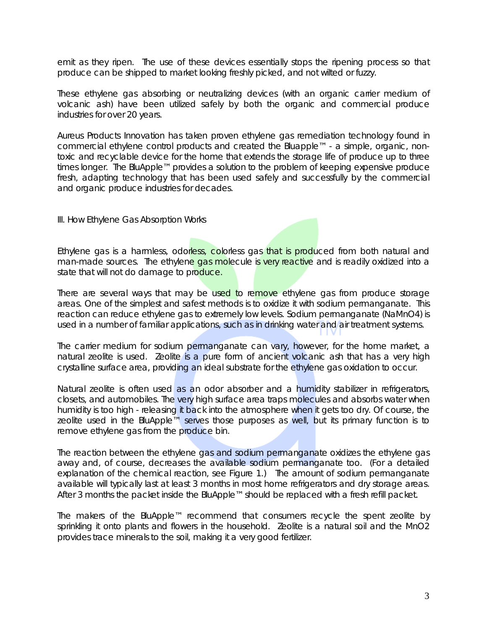emit as they ripen. The use of these devices essentially stops the ripening process so that produce can be shipped to market looking freshly picked, and not wilted or fuzzy.

These ethylene gas absorbing or neutralizing devices (with an organic carrier medium of volcanic ash) have been utilized safely by both the organic and commercial produce industries for over 20 years.

Aureus Products Innovation has taken proven ethylene gas remediation technology found in commercial ethylene control products and created the Bluapple™ - a simple, organic, nontoxic and recyclable device for the home that extends the storage life of produce up to three times longer. The BluApple™ provides a solution to the problem of keeping expensive produce fresh, adapting technology that has been used safely and successfully by the commercial and organic produce industries for decades.

III. How Ethylene Gas Absorption Works

Ethylene gas is a harmless, odorless, colorless gas that is produced from both natural and man-made sources. The ethylene gas molecule is very reactive and is readily oxidized into a state that will not do damage to produce.

There are several ways that may be used to remove ethylene gas from produce storage areas. One of the simplest and safest methods is to oxidize it with sodium permanganate. This reaction can reduce ethylene gas to extremely low levels. Sodium permanganate (NaMnO4) is used in a number of familiar applications, such as in drinking water and air treatment systems.

The carrier medium for sodium permanganate can vary, however, for the home market, a natural zeolite is used. Zeolite is a pure form of ancient volcanic ash that has a very high crystalline surface area, providing an ideal substrate for the ethylene gas oxidation to occur.

Natural zeolite is often used as an odor absorber and a humidity stabilizer in refrigerators, closets, and automobiles. The very high surface area traps molecules and absorbs water when humidity is too high - releasing it back into the atmosphere when it gets too dry. Of course, the zeolite used in the BluApple™ serves those purposes as well, but its primary function is to remove ethylene gas from the produce bin.

The reaction between the ethylene gas and sodium permanganate oxidizes the ethylene gas away and, of course, decreases the available sodium permanganate too. *(For a detailed explanation of the chemical reaction, see Figure 1.)* The amount of sodium permanganate available will typically last at least 3 months in most home refrigerators and dry storage areas. After 3 months the packet inside the BluApple™ should be replaced with a fresh refill packet.

The makers of the BluApple™ recommend that consumers recycle the spent zeolite by sprinkling it onto plants and flowers in the household. Zeolite is a natural soil and the MnO2 provides trace minerals to the soil, making it a very good fertilizer.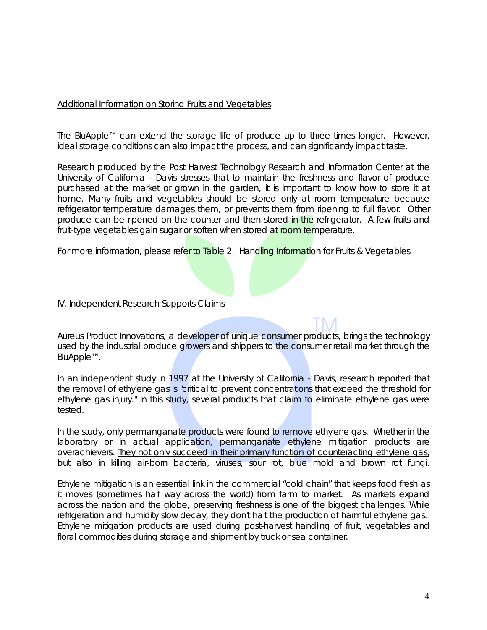## Additional Information on Storing Fruits and Vegetables

The BluApple™ can extend the storage life of produce up to three times longer. However, ideal storage conditions can also impact the process, and can significantly impact taste.

Research produced by the Post Harvest Technology Research and Information Center at the University of California - Davis stresses that to maintain the freshness and flavor of produce purchased at the market or grown in the garden, it is important to know how to store it at home. Many fruits and vegetables should be stored only at room temperature because refrigerator temperature damages them, or prevents them from ripening to full flavor. Other produce can be ripened on the counter and then stored in the refrigerator. A few fruits and fruit-type vegetables gain sugar or soften when stored at room temperature.

For more information, please refer to *Table 2. Handling Information for Fruits & Vegetables*

IV. Independent Research Supports Claims

*Aureus Product Innovations, a developer of unique consumer products, brings the technology used by the industrial produce growers and shippers to the consumer retail market through the BluApple*™*.* 

In an independent study in 1997 at the University of California - Davis, research reported that the removal of ethylene gas is "critical to prevent concentrations that exceed the threshold for ethylene gas injury." In this study, several products that claim to eliminate ethylene gas were tested.

In the study, only permanganate products were found to remove ethylene gas. Whether in the laboratory or in actual application, permanganate ethylene mitigation products are overachievers. They not only succeed in their primary function of counteracting ethylene gas, but also in killing air-born bacteria, viruses, sour rot, blue mold and brown rot fungi.

Ethylene mitigation is an essential link in the commercial "cold chain" that keeps food fresh as it moves (sometimes half way across the world) from farm to market. As markets expand across the nation and the globe, preserving freshness is one of the biggest challenges. While refrigeration and humidity slow decay, they don't halt the production of harmful ethylene gas. Ethylene mitigation products are used during post-harvest handling of fruit, vegetables and floral commodities during storage and shipment by truck or sea container.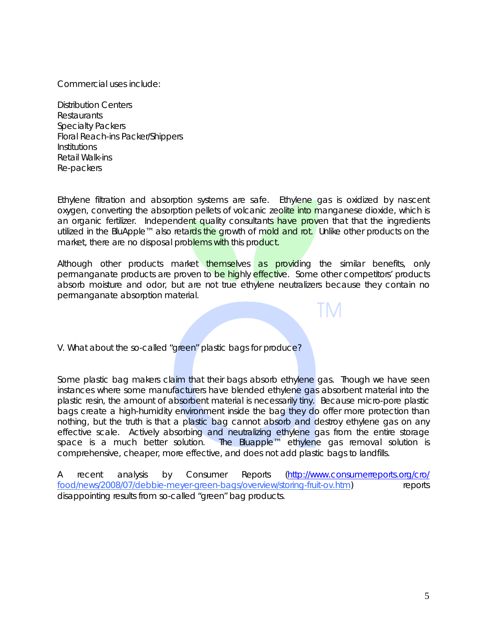Commercial uses include:

Distribution Centers Restaurants Specialty Packers Floral Reach-ins Packer/Shippers Institutions Retail Walk-ins Re-packers

Ethylene filtration and absorption systems are safe. Ethylene gas is oxidized by nascent oxygen, converting the absorption pellets of volcanic zeolite into manganese dioxide, which is an organic fertilizer. Independent quality consultants have proven that that the ingredients utilized in the BluApple™ also retards the growth of mold and rot. Unlike other products on the market, there are no disposal problems with this product.

Although other products market themselves as providing the similar benefits, only permanganate products are proven to be highly effective. Some other competitors' products absorb moisture and odor, but are not true ethylene neutralizers because they contain no permanganate absorption material.

V. What about the so-called "green" plastic bags for produce?

Some plastic bag makers claim that their bags absorb ethylene gas. Though we have seen instances where some manufacturers have blended ethylene gas absorbent material into the plastic resin, the amount of absorbent material is necessarily tiny. Because micro-pore plastic bags create a high-humidity environment inside the bag they do offer more protection than nothing, but the truth is that a plastic bag cannot absorb and destroy ethylene gas on any effective scale. Actively absorbing and neutralizing ethylene gas from the entire storage space is a much better solution. The Bluapple<sup>™</sup> ethylene gas removal solution is The Bluapple™ ethylene gas removal solution is comprehensive, cheaper, more effective, and does not add plastic bags to landfills.

A recent analysis by Consumer Reports (http://www.consumerreports.org/cro/ food/news/2008/07/debbie-meyer-green-bags/overview/storing-fruit-ov.htm) reports disappointing results from so-called "green" bag products.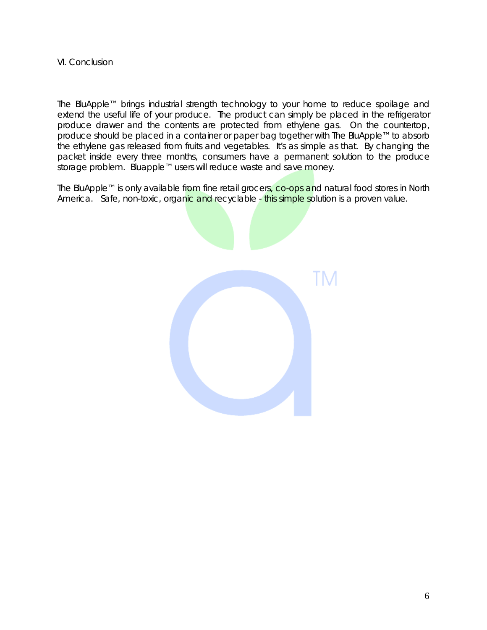#### VI. Conclusion

The BluApple™ brings industrial strength technology to your home to reduce spoilage and extend the useful life of your produce. The product can simply be placed in the refrigerator produce drawer and the contents are protected from ethylene gas. On the countertop, produce should be placed in a container or paper bag together with The BluApple™ to absorb the ethylene gas released from fruits and vegetables. It's as simple as that. By changing the packet inside every three months, consumers have a permanent solution to the produce storage problem. Bluapple™ users will reduce waste and save money.

The BluApple™ is only available from fine retail grocers, co-ops and natural food stores in North America. Safe, non-toxic, organic and recyclable - this simple solution is a proven value.

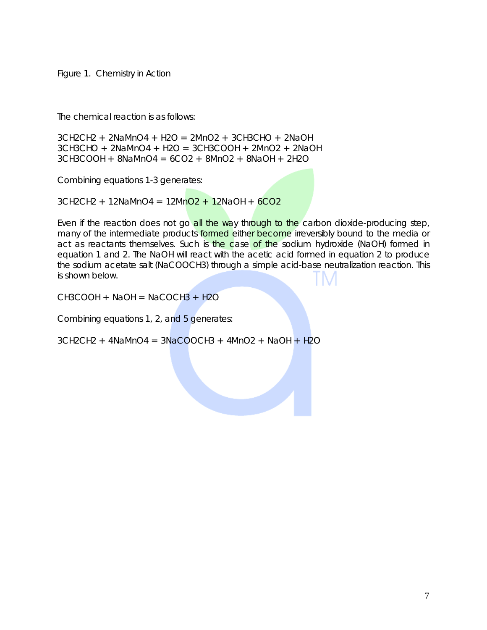Figure 1. Chemistry in Action

The chemical reaction is as follows:

3CH2CH2 + 2NaMnO4 + H2O = 2MnO2 + 3CH3CHO + 2NaOH 3CH3CHO + 2NaMnO4 + H2O = 3CH3COOH + 2MnO2 + 2NaOH  $3CH3COOH + 8NaMnO4 = 6CO2 + 8MnO2 + 8NaOH + 2H2O$ 

Combining equations 1-3 generates:

 $3CH2CH2 + 12NaMnO4 = 12MnO2 + 12NaOH + 6CO2$ 

Even if the reaction does not go all the way through to the carbon dioxide-producing step, many of the intermediate products formed either become irreversibly bound to the media or act as reactants themselves. Such is the case of the sodium hydroxide (NaOH) formed in equation 1 and 2. The NaOH will react with the acetic acid formed in equation 2 to produce the sodium acetate salt (NaCOOCH3) through a simple acid-base neutralization reaction. This is shown below.

 $CH3COOH + NaOH = NaCOCH3 + H2O$ 

Combining equations 1, 2, and 5 generates:

 $3CH2CH2 + 4NAMnO4 = 3NaCOOCH3 + 4MnO2 + NaOH + H2O$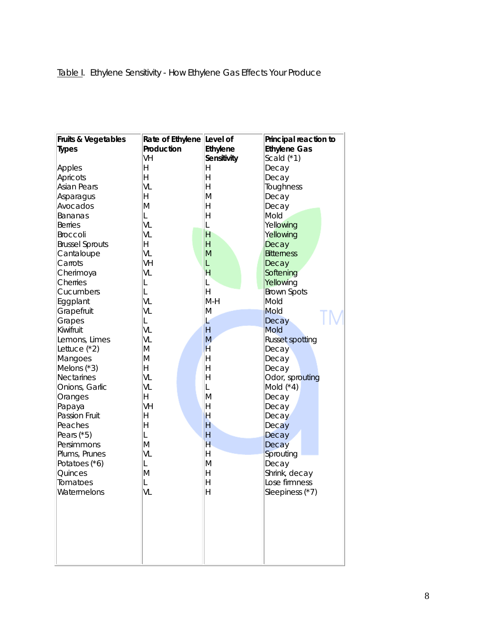| <b>Fruits &amp; Vegetables</b> | Rate of Ethylene Level of |                    | Principal reaction to  |  |  |
|--------------------------------|---------------------------|--------------------|------------------------|--|--|
| <b>Types</b>                   | Production                | <b>Ethylene</b>    | <b>Ethylene Gas</b>    |  |  |
|                                | VH                        | <b>Sensitivity</b> | Scald $(*1)$           |  |  |
| Apples                         | Н                         | Η                  | Decay                  |  |  |
| Apricots                       | H                         | Η                  | Decay                  |  |  |
| <b>Asian Pears</b>             | VL                        | Η                  | Toughness              |  |  |
| Asparagus                      | H                         | M                  | Decay                  |  |  |
| Avocados                       | M                         | Η                  | Decay                  |  |  |
| Bananas                        | L                         | Η                  | Mold                   |  |  |
| <b>Berries</b>                 | VL                        | L                  | Yellowing              |  |  |
| <b>Broccoli</b>                | VL                        | H                  | Yellowing              |  |  |
| <b>Brussel Sprouts</b>         | Η                         | H                  | Decay                  |  |  |
| Cantaloupe                     | VL                        | M                  | <b>Bitterness</b>      |  |  |
| Carrots                        | VH                        | L                  | Decay                  |  |  |
| Cherimoya                      | VL                        | н                  | Softening              |  |  |
| Cherries                       | L                         | L                  | Yellowing              |  |  |
| Cucumbers                      | L                         | Η                  | <b>Brown Spots</b>     |  |  |
| Eggplant                       | VL                        | $M-H$              | Mold                   |  |  |
| Grapefruit                     | VL                        | M                  | Mold                   |  |  |
| Grapes                         | L                         | Ŀ                  | Decay                  |  |  |
| Kiwifruit                      | VL                        | H                  | Mold                   |  |  |
| Lemons, Limes                  | VL                        | M                  | <b>Russet spotting</b> |  |  |
| Lettuce (*2)                   | M                         | H                  | Decay                  |  |  |
| Mangoes                        | M                         | Η                  | Decay                  |  |  |
| Melons $(*3)$                  | H                         | Η                  | Decay                  |  |  |
| <b>Nectarines</b>              | VL                        | Η                  | Odor, sprouting        |  |  |
| Onions, Garlic                 | VL                        | L                  | Mold $(*4)$            |  |  |
| Oranges                        | H                         | M                  | Decay                  |  |  |
| Papaya                         | VH                        | Η                  | Decay                  |  |  |
| <b>Passion Fruit</b>           | Н                         | Н                  | Decay                  |  |  |
| Peaches                        | H                         | Η                  | Decay                  |  |  |
| Pears $(*5)$                   | L                         | Η                  | Decay                  |  |  |
| Persimmons                     | M                         | H                  | Decay                  |  |  |
| Plums, Prunes                  | VL                        | Η                  | Sprouting              |  |  |
| Potatoes (*6)                  | L                         | M                  | Decay                  |  |  |
| Quinces                        | M                         | Η                  | Shrink, decay          |  |  |
| Tomatoes                       | L                         | Η                  | Lose firmness          |  |  |
| Watermelons                    | VL                        | H                  | Sleepiness (*7)        |  |  |
|                                |                           |                    |                        |  |  |
|                                |                           |                    |                        |  |  |
|                                |                           |                    |                        |  |  |
|                                |                           |                    |                        |  |  |
|                                |                           |                    |                        |  |  |
|                                |                           |                    |                        |  |  |
|                                |                           |                    |                        |  |  |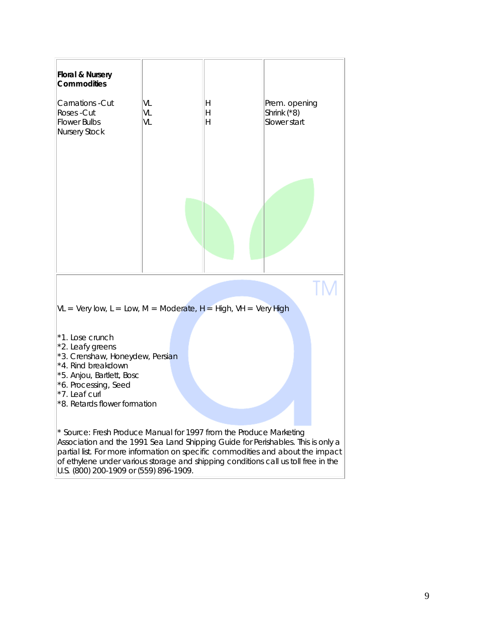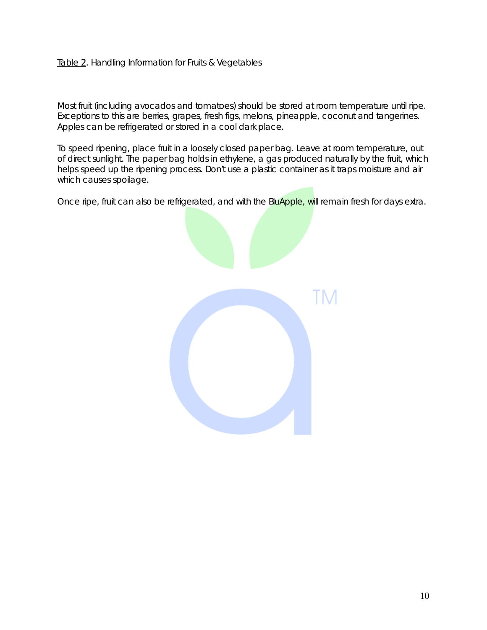# Table 2. Handling Information for Fruits & Vegetables

Most fruit (including avocados and tomatoes) should be stored at room temperature until ripe. Exceptions to this are berries, grapes, fresh figs, melons, pineapple, coconut and tangerines. Apples can be refrigerated or stored in a cool dark place.

To speed ripening, place fruit in a loosely closed paper bag. Leave at room temperature, out of direct sunlight. The paper bag holds in ethylene, a gas produced naturally by the fruit, which helps speed up the ripening process. Don't use a plastic container as it traps moisture and air which causes spoilage.

Once ripe, fruit can also be refrigerated, and with the BluApple, will remain fresh for days extra.

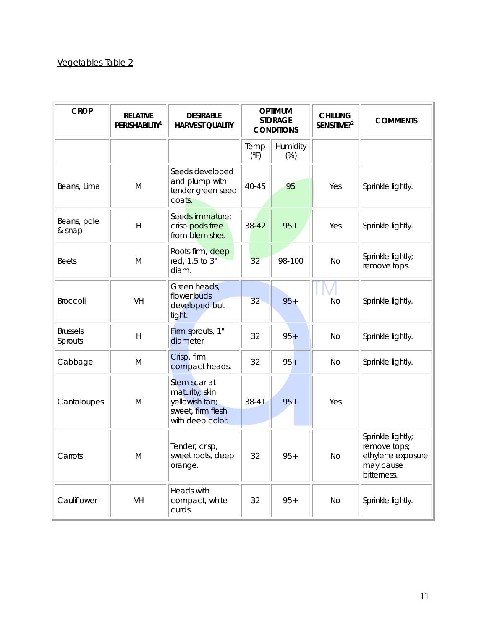# Vegetables Table 2

| <b>CROP</b>                | <b>RELATIVE</b><br><b>PERISHABILITY<sup>1</sup></b> | <b>DESIRABLE</b><br><b>HARVEST QUALITY</b>                                                | <b>OPTIMUM</b><br><b>STORAGE</b><br><b>CONDITIONS</b> |                 | <b>CHILLING</b><br>SENSITIVE?2 | <b>COMMENTS</b>                                                                    |
|----------------------------|-----------------------------------------------------|-------------------------------------------------------------------------------------------|-------------------------------------------------------|-----------------|--------------------------------|------------------------------------------------------------------------------------|
|                            |                                                     |                                                                                           | Temp<br>$(^{\circ}F)$                                 | Humidity<br>(%) |                                |                                                                                    |
| Beans, Lima                | M                                                   | Seeds developed<br>and plump with<br>tender green seed<br>coats.                          | 40-45                                                 | 95              | Yes                            | Sprinkle lightly.                                                                  |
| Beans, pole<br>& snap      | H                                                   | Seeds immature:<br>crisp pods free<br>from blemishes                                      | $38 - 42$                                             | $95+$           | Yes                            | Sprinkle lightly.                                                                  |
| <b>Beets</b>               | M                                                   | Roots firm, deep<br>red, 1.5 to 3"<br>diam.                                               | 32                                                    | 98-100          | <b>No</b>                      | Sprinkle lightly;<br>remove tops.                                                  |
| <b>Broccoli</b>            | <b>VH</b>                                           | Green heads,<br>flower buds<br>developed but<br>tight.                                    | 32                                                    | $95 +$          | No                             | Sprinkle lightly.                                                                  |
| <b>Brussels</b><br>Sprouts | H                                                   | Firm sprouts, 1"<br>diameter                                                              | 32                                                    | $95+$           | <b>No</b>                      | Sprinkle lightly.                                                                  |
| Cabbage                    | M                                                   | Crisp, firm,<br>compact heads.                                                            | 32                                                    | $95 +$          | No                             | Sprinkle lightly.                                                                  |
| Cantaloupes                | M                                                   | Stem scar at<br>maturity; skin<br>yellowish tan;<br>sweet, firm flesh<br>with deep color. | 38-41                                                 | $95+$           | Yes                            |                                                                                    |
| Carrots                    | M                                                   | Tender, crisp,<br>sweet roots, deep<br>orange.                                            | 32                                                    | $95+$           | N <sub>O</sub>                 | Sprinkle lightly;<br>remove tops;<br>ethylene exposure<br>may cause<br>bitterness. |
| Cauliflower                | VH                                                  | Heads with<br>compact, white<br>curds.                                                    | 32                                                    | $95 +$          | No                             | Sprinkle lightly.                                                                  |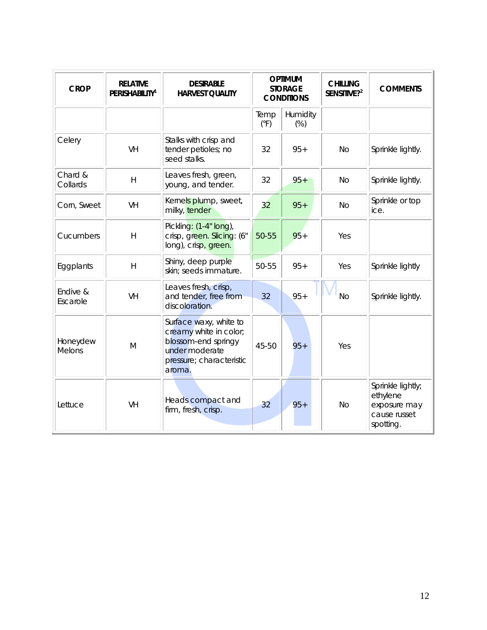| <b>CROP</b>               | <b>RELATIVE</b><br><b>PERISHABILITY<sup>1</sup></b> | <b>DESIRABLE</b><br><b>HARVEST QUALITY</b>                                                                                      | <b>OPTIMUM</b><br><b>STORAGE</b><br><b>CONDITIONS</b> |                 | <b>CHILLING</b><br>SENSITIVE? <sup>2</sup> | <b>COMMENTS</b>                                                            |
|---------------------------|-----------------------------------------------------|---------------------------------------------------------------------------------------------------------------------------------|-------------------------------------------------------|-----------------|--------------------------------------------|----------------------------------------------------------------------------|
|                           |                                                     |                                                                                                                                 | Temp<br>(°F)                                          | Humidity<br>(%) |                                            |                                                                            |
| Celery                    | VH                                                  | Stalks with crisp and<br>tender petioles; no<br>seed stalks.                                                                    | 32                                                    | $95+$           | <b>No</b>                                  | Sprinkle lightly.                                                          |
| Chard &<br>Collards       | $\overline{H}$                                      | Leaves fresh, green,<br>young, and tender.                                                                                      | 32                                                    | $95+$           | <b>No</b>                                  | Sprinkle lightly.                                                          |
| Corn, Sweet               | VH                                                  | Kernels plump, sweet,<br>milky, tender                                                                                          | 32                                                    | $95 +$          | <b>No</b>                                  | Sprinkle or top<br>ice.                                                    |
| Cucumbers                 | $\overline{\mathsf{H}}$                             | Pickling: (1-4" long),<br>crisp, green. Slicing: (6"<br>long), crisp, green.                                                    | 50-55                                                 | $95 +$          | Yes                                        |                                                                            |
| Eggplants                 | $\mathsf{H}$                                        | Shiny, deep purple<br>skin; seeds immature.                                                                                     | 50-55                                                 | $95+$           | Yes                                        | Sprinkle lightly                                                           |
| Endive &<br>Escarole      | <b>VH</b>                                           | Leaves fresh, crisp,<br>and tender, free from<br>discoloration.                                                                 | 32                                                    | $95 +$          | <b>No</b>                                  | Sprinkle lightly.                                                          |
| Honeydew<br><b>Melons</b> | M                                                   | Surface waxy, white to<br>creamy white in color;<br>blossom-end springy<br>under moderate<br>pressure; characteristic<br>aroma. | 45-50                                                 | $95+$           | Yes                                        |                                                                            |
| Lettuce                   | <b>VH</b>                                           | Heads compact and<br>firm, fresh, crisp.                                                                                        | 32                                                    | $95 +$          | <b>No</b>                                  | Sprinkle lightly;<br>ethylene<br>exposure may<br>cause russet<br>spotting. |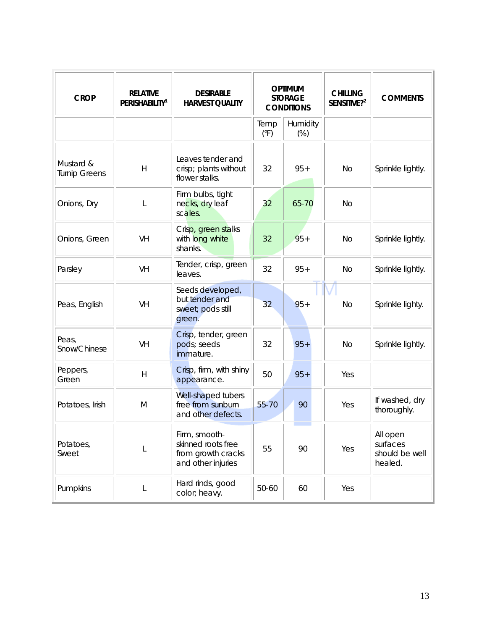| <b>CROP</b>                       | <b>RELATIVE</b><br><b>PERISHABILITY<sup>1</sup></b> | <b>DESIRABLE</b><br><b>HARVEST QUALITY</b>                                      | <b>OPTIMUM</b><br><b>STORAGE</b><br><b>CONDITIONS</b> |                  | <b>CHILLING</b><br>SENSITIVE?2 | <b>COMMENTS</b>                                   |
|-----------------------------------|-----------------------------------------------------|---------------------------------------------------------------------------------|-------------------------------------------------------|------------------|--------------------------------|---------------------------------------------------|
|                                   |                                                     |                                                                                 | Temp<br>$(^{\circ}F)$                                 | Humidity<br>(% ) |                                |                                                   |
| Mustard &<br><b>Turnip Greens</b> | H                                                   | Leaves tender and<br>crisp; plants without<br>flower stalks.                    | 32                                                    | $95+$            | No                             | Sprinkle lightly.                                 |
| Onions, Dry                       | L                                                   | Firm bulbs, tight<br>necks, dry leaf<br>scales.                                 | 32                                                    | 65-70            | <b>No</b>                      |                                                   |
| Onions, Green                     | <b>VH</b>                                           | Crisp, green stalks<br>with long white<br>shanks.                               | 32                                                    | $95+$            | <b>No</b>                      | Sprinkle lightly.                                 |
| Parsley                           | VH                                                  | Tender, crisp, green<br>leaves.                                                 | 32                                                    | $95+$            | <b>No</b>                      | Sprinkle lightly.                                 |
| Peas, English                     | <b>VH</b>                                           | Seeds developed,<br>but tender and<br>sweet; pods still<br>green.               | 32                                                    | $95 +$           | No                             | Sprinkle lighty.                                  |
| Peas,<br>Snow/Chinese             | VH                                                  | Crisp, tender, green<br>pods; seeds<br>immature.                                | 32                                                    | $95+$            | <b>No</b>                      | Sprinkle lightly.                                 |
| Peppers,<br>Green                 | $\mathsf{H}$                                        | Crisp, firm, with shiny<br>appearance.                                          | 50                                                    | $95+$            | Yes                            |                                                   |
| Potatoes, Irish                   | M                                                   | Well-shaped tubers<br>free from sunburn<br>and other defects.                   | 55-70                                                 | 90               | Yes                            | If washed, dry<br>thoroughly.                     |
| Potatoes,<br>Sweet                | L                                                   | Firm, smooth-<br>skinned roots free<br>from growth cracks<br>and other injuries | 55                                                    | 90               | Yes                            | All open<br>surfaces<br>should be well<br>healed. |
| Pumpkins                          | L                                                   | Hard rinds, good<br>color; heavy.                                               | 50-60                                                 | 60               | Yes                            |                                                   |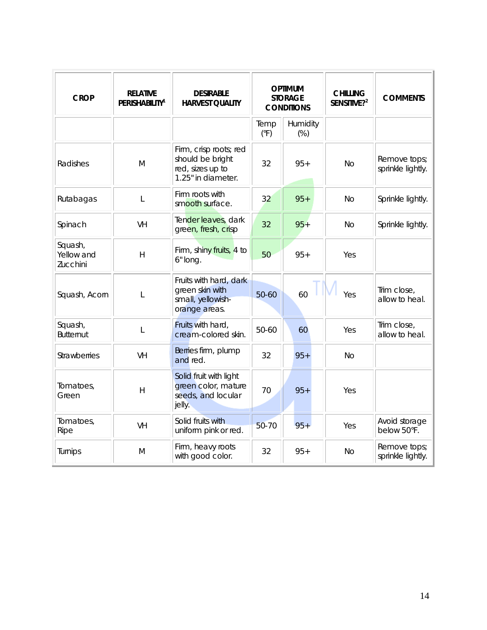| <b>CROP</b>                       | <b>RELATIVE</b><br><b>PERISHABILITY<sup>1</sup></b> | <b>DESIRABLE</b><br><b>HARVEST QUALITY</b>                                           | <b>OPTIMUM</b><br><b>STORAGE</b><br><b>CONDITIONS</b> |                 | <b>CHILLING</b><br>SENSITIVE?2 | <b>COMMENTS</b>                   |
|-----------------------------------|-----------------------------------------------------|--------------------------------------------------------------------------------------|-------------------------------------------------------|-----------------|--------------------------------|-----------------------------------|
|                                   |                                                     |                                                                                      | Temp<br>$(^{\circ}F)$                                 | Humidity<br>(%) |                                |                                   |
| Radishes                          | M                                                   | Firm, crisp roots; red<br>should be bright<br>red, sizes up to<br>1.25" in diameter. | 32                                                    | $95+$           | <b>No</b>                      | Remove tops;<br>sprinkle lightly. |
| Rutabagas                         | L                                                   | Firm roots with<br>smooth surface.                                                   | 32                                                    | $95+$           | No.                            | Sprinkle lightly.                 |
| Spinach                           | VH                                                  | Tender leaves, dark<br>green, fresh, crisp                                           | 32                                                    | $95 +$          | <b>No</b>                      | Sprinkle lightly.                 |
| Squash,<br>Yellow and<br>Zucchini | H                                                   | Firm, shiny fruits, 4 to<br>6" long.                                                 | 50                                                    | $95+$           | Yes                            |                                   |
| Squash, Acorn                     | L                                                   | Fruits with hard, dark<br>green skin with<br>small, yellowish-<br>orange areas.      | 50-60                                                 | 60              | Yes                            | Trim close,<br>allow to heal.     |
| Squash,<br><b>Butternut</b>       | L                                                   | Fruits with hard,<br>cream-colored skin.                                             | 50-60                                                 | 60              | Yes                            | Trim close,<br>allow to heal.     |
| <b>Strawberries</b>               | <b>VH</b>                                           | Berries firm, plump<br>and red.                                                      | 32                                                    | $95+$           | <b>No</b>                      |                                   |
| Tomatoes,<br>Green                | H                                                   | Solid fruit with light<br>green color, mature<br>seeds, and locular<br>jelly.        | 70                                                    | $95+$           | Yes                            |                                   |
| Tomatoes,<br>Ripe                 | <b>VH</b>                                           | Solid fruits with<br>uniform pink or red.                                            | 50-70                                                 | $95 +$          | Yes                            | Avoid storage<br>below 50°F.      |
| Turnips                           | M                                                   | Firm, heavy roots<br>with good color.                                                | 32                                                    | $95+$           | <b>No</b>                      | Remove tops;<br>sprinkle lightly. |